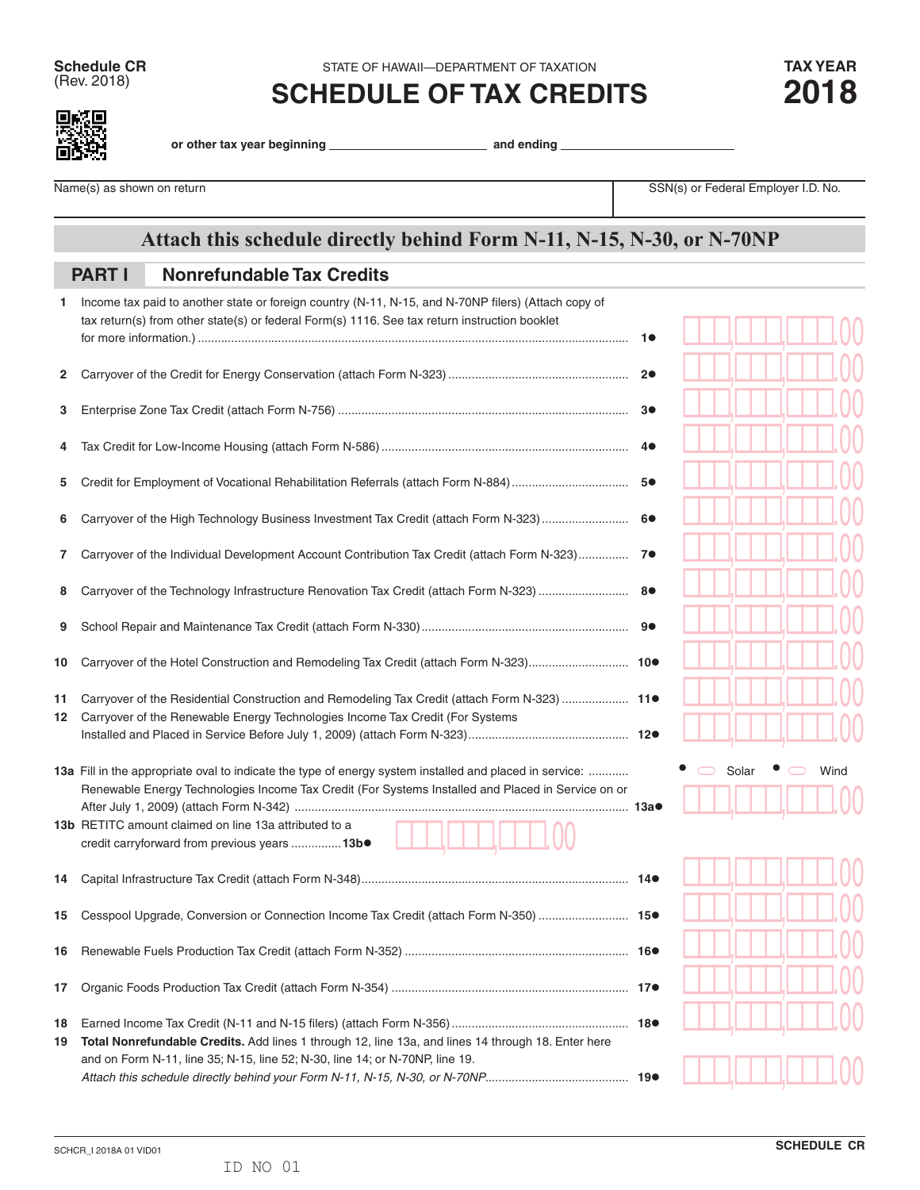**Schedule CR** STATE OF HAWAII—DEPARTMENT OF TAXATION **TAX YEAR**<br>
(Rev. 2018) **COLLEDILLE OF TAY ODEDITO** 

(Rev. 2018) **SCHEDULE OF TAX CREDITS 2018**



**or other tax year beginning and ending** 

Name(s) as shown on return **Name(s)** as shown on return SSN(s) or Federal Employer I.D. No.

## **Attach this schedule directly behind Form N-11, N-15, N-30, or N-70NP**

## **Nonrefundable Tax Credits PART I**

| 1. | Income tax paid to another state or foreign country (N-11, N-15, and N-70NP filers) (Attach copy of        |    |  |       |  |      |  |
|----|------------------------------------------------------------------------------------------------------------|----|--|-------|--|------|--|
|    | tax return(s) from other state(s) or federal Form(s) 1116. See tax return instruction booklet              |    |  |       |  |      |  |
|    |                                                                                                            | 10 |  |       |  |      |  |
|    |                                                                                                            |    |  |       |  |      |  |
| 2  |                                                                                                            | 2● |  |       |  |      |  |
| 3  |                                                                                                            | 3● |  |       |  |      |  |
|    |                                                                                                            |    |  |       |  |      |  |
| 4  |                                                                                                            | 4● |  |       |  |      |  |
|    |                                                                                                            |    |  |       |  |      |  |
| 5  | Credit for Employment of Vocational Rehabilitation Referrals (attach Form N-884)                           | 5● |  |       |  |      |  |
| 6  | Carryover of the High Technology Business Investment Tax Credit (attach Form N-323)  6●                    |    |  |       |  |      |  |
|    |                                                                                                            |    |  |       |  |      |  |
| 7  | Carryover of the Individual Development Account Contribution Tax Credit (attach Form N-323) 7 <sup>0</sup> |    |  |       |  |      |  |
|    |                                                                                                            |    |  |       |  |      |  |
| 8  | Carryover of the Technology Infrastructure Renovation Tax Credit (attach Form N-323)                       | 8● |  |       |  |      |  |
| 9  |                                                                                                            |    |  |       |  |      |  |
|    |                                                                                                            |    |  |       |  |      |  |
| 10 |                                                                                                            |    |  |       |  |      |  |
|    |                                                                                                            |    |  |       |  |      |  |
| 11 | Carryover of the Residential Construction and Remodeling Tax Credit (attach Form N-323)  11●               |    |  |       |  |      |  |
| 12 | Carryover of the Renewable Energy Technologies Income Tax Credit (For Systems                              |    |  |       |  |      |  |
|    |                                                                                                            |    |  |       |  |      |  |
|    | 13a Fill in the appropriate oval to indicate the type of energy system installed and placed in service:    |    |  | Solar |  | Wind |  |
|    | Renewable Energy Technologies Income Tax Credit (For Systems Installed and Placed in Service on or         |    |  |       |  |      |  |
|    |                                                                                                            |    |  |       |  |      |  |
|    | 13b RETITC amount claimed on line 13a attributed to a                                                      |    |  |       |  |      |  |
|    | credit carryforward from previous years  13b.                                                              |    |  |       |  |      |  |
| 14 |                                                                                                            |    |  |       |  |      |  |
|    |                                                                                                            |    |  |       |  |      |  |
| 15 | Cesspool Upgrade, Conversion or Connection Income Tax Credit (attach Form N-350)  15.                      |    |  |       |  |      |  |
|    |                                                                                                            |    |  |       |  |      |  |
| 16 |                                                                                                            |    |  |       |  |      |  |
| 17 |                                                                                                            |    |  |       |  |      |  |
|    |                                                                                                            |    |  |       |  |      |  |
| 18 |                                                                                                            |    |  |       |  |      |  |
| 19 | Total Nonrefundable Credits. Add lines 1 through 12, line 13a, and lines 14 through 18. Enter here         |    |  |       |  |      |  |
|    | and on Form N-11, line 35; N-15, line 52; N-30, line 14; or N-70NP, line 19.                               |    |  |       |  |      |  |
|    |                                                                                                            |    |  |       |  |      |  |